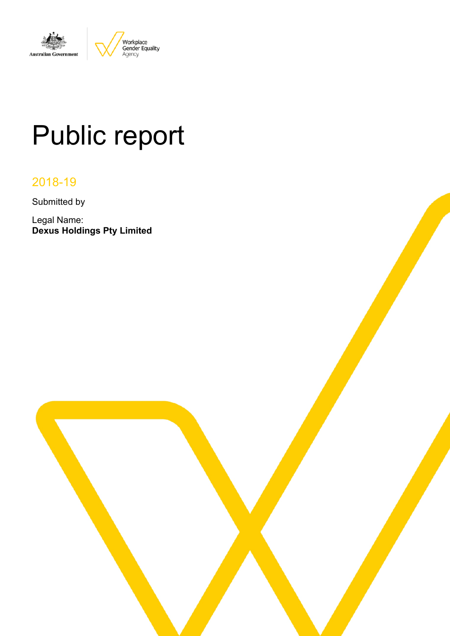

# Public report

# 2018-19

Submitted by

Legal Name: **Dexus Holdings Pty Limited**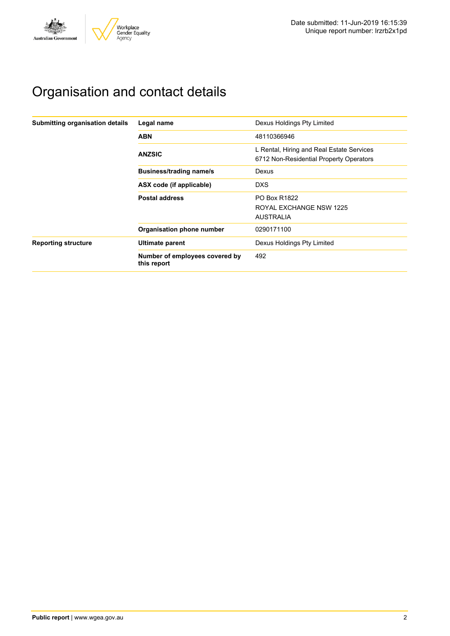

# Organisation and contact details

| Submitting organisation details | Legal name                                    | Dexus Holdings Pty Limited                                                           |
|---------------------------------|-----------------------------------------------|--------------------------------------------------------------------------------------|
|                                 | <b>ABN</b>                                    | 48110366946                                                                          |
|                                 | <b>ANZSIC</b>                                 | L Rental, Hiring and Real Estate Services<br>6712 Non-Residential Property Operators |
|                                 | <b>Business/trading name/s</b>                | Dexus                                                                                |
|                                 | ASX code (if applicable)                      | <b>DXS</b>                                                                           |
|                                 | <b>Postal address</b>                         | <b>PO Box R1822</b>                                                                  |
|                                 |                                               | ROYAL EXCHANGE NSW 1225                                                              |
|                                 |                                               | <b>AUSTRALIA</b>                                                                     |
|                                 | Organisation phone number                     | 0290171100                                                                           |
| <b>Reporting structure</b>      | Ultimate parent                               | Dexus Holdings Pty Limited                                                           |
|                                 | Number of employees covered by<br>this report | 492                                                                                  |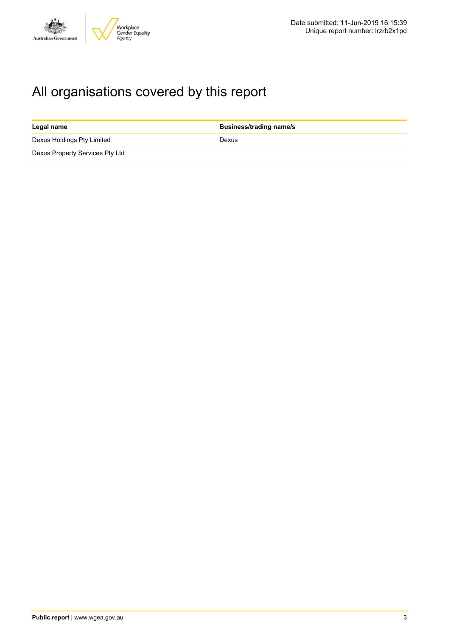

# All organisations covered by this report

| Legal name                      | <b>Business/trading name/s</b> |
|---------------------------------|--------------------------------|
| Dexus Holdings Pty Limited      | Dexus                          |
| Dexus Property Services Pty Ltd |                                |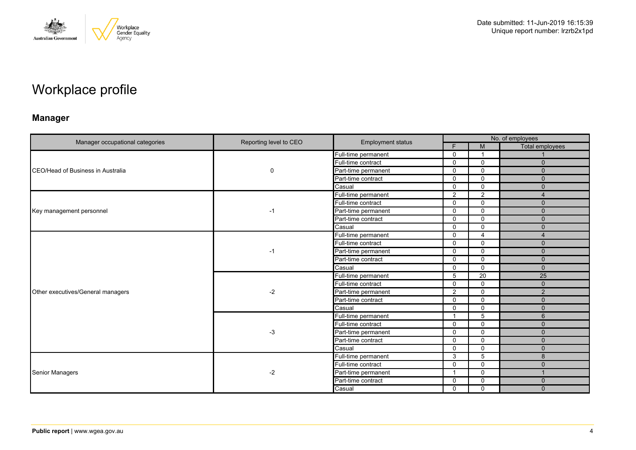

# Workplace profile

### **Manager**

|                                   | Reporting level to CEO |                          | No. of employees |                |                 |  |
|-----------------------------------|------------------------|--------------------------|------------------|----------------|-----------------|--|
| Manager occupational categories   |                        | <b>Employment status</b> | F.               | M              | Total employees |  |
|                                   |                        | Full-time permanent      | $\mathbf 0$      | -1             |                 |  |
|                                   |                        | Full-time contract       | $\mathbf 0$      | $\mathbf 0$    | $\mathbf{0}$    |  |
| CEO/Head of Business in Australia | 0                      | Part-time permanent      | $\Omega$         | $\mathbf 0$    | $\Omega$        |  |
|                                   |                        | Part-time contract       | $\mathbf{0}$     | $\mathbf 0$    | $\Omega$        |  |
|                                   |                        | Casual                   | $\mathbf 0$      | $\mathbf 0$    | $\mathbf{0}$    |  |
|                                   |                        | Full-time permanent      | 2                | $\overline{2}$ | $\overline{4}$  |  |
|                                   |                        | Full-time contract       | $\Omega$         | $\mathbf 0$    | $\Omega$        |  |
| Key management personnel          | $-1$                   | Part-time permanent      | $\mathbf 0$      | $\mathbf 0$    | $\mathbf{0}$    |  |
|                                   |                        | Part-time contract       | $\mathbf{0}$     | $\Omega$       | $\Omega$        |  |
|                                   |                        | Casual                   | $\Omega$         | $\mathbf 0$    | $\Omega$        |  |
|                                   | $-1$                   | Full-time permanent      | $\mathbf 0$      | $\overline{4}$ | 4               |  |
|                                   |                        | Full-time contract       | $\mathbf{0}$     | $\Omega$       | $\Omega$        |  |
|                                   |                        | Part-time permanent      | $\mathbf 0$      | $\mathbf 0$    | $\mathbf 0$     |  |
|                                   |                        | Part-time contract       | $\mathbf 0$      | $\mathbf 0$    | $\mathbf{0}$    |  |
|                                   |                        | Casual                   | $\mathbf{0}$     | $\Omega$       | $\Omega$        |  |
|                                   | $-2$                   | Full-time permanent      | 5                | 20             | 25              |  |
|                                   |                        | Full-time contract       | $\mathbf 0$      | $\mathbf 0$    | $\mathbf{0}$    |  |
| Other executives/General managers |                        | Part-time permanent      | 2                | $\Omega$       | $\overline{2}$  |  |
|                                   |                        | Part-time contract       | $\Omega$         | $\mathbf 0$    | $\mathbf 0$     |  |
|                                   |                        | Casual                   | $\mathbf 0$      | $\mathbf 0$    | $\mathbf 0$     |  |
|                                   |                        | Full-time permanent      | -1               | 5              | 6               |  |
|                                   |                        | Full-time contract       | $\Omega$         | $\mathbf 0$    | $\mathbf 0$     |  |
|                                   | -3                     | Part-time permanent      | $\Omega$         | $\mathbf 0$    | $\Omega$        |  |
|                                   |                        | Part-time contract       | $\mathbf{0}$     | $\mathbf 0$    | $\Omega$        |  |
|                                   |                        | Casual                   | $\Omega$         | $\mathbf 0$    | $\mathbf 0$     |  |
|                                   |                        | Full-time permanent      | 3                | 5              | 8               |  |
|                                   |                        | Full-time contract       | $\mathbf 0$      | $\mathbf 0$    | $\Omega$        |  |
| Senior Managers                   | $-2$                   | Part-time permanent      |                  | $\mathbf 0$    |                 |  |
|                                   |                        | Part-time contract       | $\mathbf 0$      | $\mathbf 0$    | $\mathbf{0}$    |  |
|                                   |                        | Casual                   | $\mathbf 0$      | $\mathbf 0$    | $\Omega$        |  |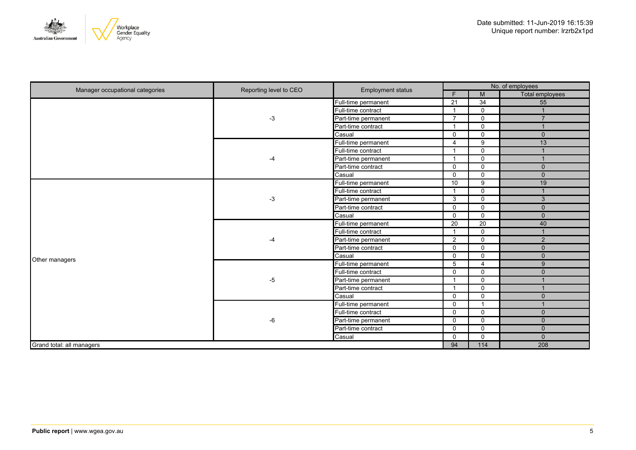

| Manager occupational categories | Reporting level to CEO | <b>Employment status</b> | No. of employees        |                 |                 |
|---------------------------------|------------------------|--------------------------|-------------------------|-----------------|-----------------|
|                                 |                        |                          | F                       | M               | Total employees |
|                                 |                        | Full-time permanent      | $\overline{21}$         | $\overline{34}$ | 55              |
|                                 |                        | Full-time contract       | $\overline{\mathbf{1}}$ | $\Omega$        |                 |
|                                 | -3                     | Part-time permanent      | $\overline{7}$          | $\mathbf 0$     | $\overline{7}$  |
|                                 |                        | Part-time contract       | $\overline{\mathbf{1}}$ | 0               |                 |
|                                 |                        | Casual                   | $\mathbf 0$             | $\Omega$        | $\mathbf{0}$    |
|                                 |                        | Full-time permanent      | $\overline{4}$          | 9               | 13              |
|                                 |                        | Full-time contract       | $\overline{1}$          | $\mathbf 0$     |                 |
|                                 | -4                     | Part-time permanent      | $\overline{\mathbf{1}}$ | $\mathbf 0$     |                 |
|                                 |                        | Part-time contract       | $\mathbf 0$             | $\mathbf 0$     | $\mathbf{0}$    |
|                                 |                        | Casual                   | $\mathbf 0$             | $\mathbf 0$     | $\mathbf{0}$    |
|                                 |                        | Full-time permanent      | 10                      | 9               | 19              |
|                                 | $-3$                   | Full-time contract       | $\overline{\mathbf{1}}$ | $\mathbf 0$     | 1               |
|                                 |                        | Part-time permanent      | 3                       | $\mathbf 0$     | 3               |
|                                 |                        | Part-time contract       | $\mathbf 0$             | $\mathbf 0$     | $\mathbf 0$     |
|                                 |                        | Casual                   | $\Omega$                | $\Omega$        | $\mathbf{0}$    |
|                                 | -4                     | Full-time permanent      | 20                      | 20              | 40              |
|                                 |                        | Full-time contract       | $\overline{\mathbf{1}}$ | 0               | ٠               |
|                                 |                        | Part-time permanent      | 2                       | $\mathbf 0$     | 2               |
|                                 |                        | Part-time contract       | $\mathbf 0$             | $\mathbf 0$     | $\mathbf 0$     |
| Other managers                  |                        | Casual                   | $\mathbf 0$             | $\mathbf 0$     | $\mathbf{0}$    |
|                                 |                        | Full-time permanent      | 5                       | 4               | $\overline{9}$  |
|                                 |                        | Full-time contract       | $\Omega$                | $\mathbf 0$     | $\mathbf{0}$    |
|                                 | -5                     | Part-time permanent      | $\overline{\mathbf{1}}$ | $\mathbf 0$     |                 |
|                                 |                        | Part-time contract       | $\overline{1}$          | $\mathbf 0$     |                 |
|                                 |                        | Casual                   | $\mathbf 0$             | $\mathbf 0$     | $\mathbf 0$     |
|                                 |                        | Full-time permanent      | $\Omega$                | $\overline{ }$  |                 |
|                                 |                        | Full-time contract       | $\mathbf 0$             | $\Omega$        | $\mathbf{0}$    |
|                                 | -6                     | Part-time permanent      | $\mathbf 0$             | $\Omega$        | $\mathbf{0}$    |
|                                 |                        | Part-time contract       | $\mathbf 0$             | $\mathbf 0$     | $\mathbf{0}$    |
|                                 |                        | Casual                   | $\mathbf 0$             | $\mathbf 0$     | $\mathbf 0$     |
| Grand total: all managers       |                        |                          | 94                      | 114             | 208             |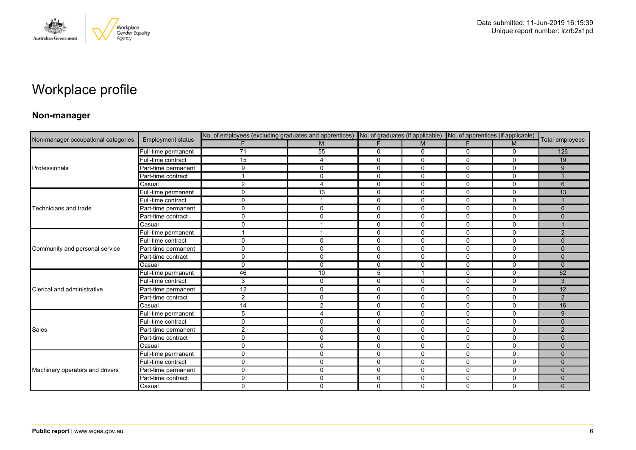

# Workplace profile

### **Non-manager**

|                                     |                          | No. of employees (excluding graduates and apprentices) No. of graduates (if applicable) No. of apprentices (if applicable) |                         |             |              |              |              |                 |
|-------------------------------------|--------------------------|----------------------------------------------------------------------------------------------------------------------------|-------------------------|-------------|--------------|--------------|--------------|-----------------|
| Non-manager occupational categories | <b>Employment status</b> |                                                                                                                            | M                       |             | M            |              | M            | Total employees |
|                                     | Full-time permanent      | 71                                                                                                                         | 55                      | $\mathbf 0$ | $\mathbf 0$  | 0            | $\mathbf 0$  | 126             |
|                                     | Full-time contract       | 15                                                                                                                         | 4                       | $\mathbf 0$ | $\mathbf 0$  | 0            | $\mathbf 0$  | 19              |
| Professionals                       | Part-time permanent      | 9                                                                                                                          | $\Omega$                | $\mathbf 0$ | $\mathbf 0$  | 0            | $\mathbf{0}$ | 9               |
|                                     | Part-time contract       | $\mathbf 1$                                                                                                                | $\Omega$                | $\mathbf 0$ | $\Omega$     | $\mathbf{0}$ | $\mathbf{0}$ |                 |
|                                     | Casual                   | $\overline{2}$                                                                                                             | 4                       | 0           | 0            | 0            | 0            | 6               |
|                                     | Full-time permanent      | 0                                                                                                                          | 13                      | $\mathbf 0$ | $\Omega$     | $\Omega$     | $\Omega$     | 13              |
|                                     | Full-time contract       | $\mathbf 0$                                                                                                                | $\overline{\mathbf{A}}$ | $\mathbf 0$ | $\mathbf 0$  | $\mathbf 0$  | $\mathbf 0$  |                 |
| Technicians and trade               | Part-time permanent      | $\mathbf 0$                                                                                                                | 0                       | $\mathbf 0$ | $\mathbf 0$  | $\mathbf 0$  | $\Omega$     | $\mathbf{0}$    |
|                                     | Part-time contract       | 0                                                                                                                          | 0                       | $\mathbf 0$ | $\Omega$     | 0            | $\mathbf{0}$ | $\Omega$        |
|                                     | Casual                   | $\mathbf 0$                                                                                                                |                         | $\mathbf 0$ | $\mathbf 0$  | $\mathbf 0$  | $\mathbf 0$  |                 |
|                                     | Full-time permanent      | 1                                                                                                                          |                         | $\Omega$    | $\Omega$     | $\mathbf 0$  | $\Omega$     | 2               |
|                                     | Full-time contract       | 0                                                                                                                          | $\Omega$                | $\Omega$    | $\Omega$     | $\Omega$     | $\mathbf{0}$ | $\Omega$        |
| Community and personal service      | Part-time permanent      | 0                                                                                                                          | 0                       | 0           | $\mathbf 0$  | $\mathbf 0$  | $\mathbf 0$  | $\mathbf{0}$    |
|                                     | Part-time contract       | $\mathbf 0$                                                                                                                | 0                       | $\mathbf 0$ | $\mathbf 0$  | $\mathbf 0$  | $\mathbf 0$  | $\mathbf{0}$    |
|                                     | Casual                   | $\mathbf 0$                                                                                                                | $\Omega$                | $\Omega$    | $\Omega$     | $\Omega$     | $\mathbf{0}$ | $\Omega$        |
|                                     | Full-time permanent      | 46                                                                                                                         | 10                      | 5           | -1           | 0            | $\mathbf 0$  | 62              |
|                                     | Full-time contract       | 3                                                                                                                          | 0                       | $\mathbf 0$ | 0            | 0            | $\mathbf 0$  | 3               |
| Clerical and administrative         | Part-time permanent      | 12                                                                                                                         | $\Omega$                | $\Omega$    | $\Omega$     | $\mathbf{0}$ | $\mathbf{0}$ | 12              |
|                                     | Part-time contract       | $\overline{2}$                                                                                                             | 0                       | $\mathbf 0$ | $\mathbf 0$  | 0            | $\mathbf{0}$ | 2               |
|                                     | Casual                   | 14                                                                                                                         | $\overline{2}$          | 0           | $\mathbf 0$  | $\mathbf 0$  | $\mathbf 0$  | 16              |
|                                     | Full-time permanent      | 5                                                                                                                          | 4                       | $\mathbf 0$ | $\mathbf 0$  | $\mathbf 0$  | $\mathbf 0$  | 9               |
|                                     | Full-time contract       | 0                                                                                                                          | 0                       | $\mathbf 0$ | $\mathbf 0$  | 0            | $\Omega$     | $\mathbf{0}$    |
| Sales                               | Part-time permanent      | $\overline{2}$                                                                                                             | 0                       | 0           | 0            | 0            | 0            | 2               |
|                                     | Part-time contract       | 0                                                                                                                          | 0                       | $\mathbf 0$ | 0            | $\mathbf 0$  | 0            | $\mathbf{0}$    |
|                                     | Casual                   | $\mathbf 0$                                                                                                                | 0                       | $\mathbf 0$ | 0            | 0            | 0            | $\mathbf{0}$    |
|                                     | Full-time permanent      | 0                                                                                                                          | 0                       | 0           | 0            | $\mathbf 0$  | 0            | $\mathbf{0}$    |
|                                     | Full-time contract       | $\mathbf 0$                                                                                                                | $\Omega$                | $\mathbf 0$ | $\Omega$     | $\mathbf{0}$ | $\mathbf 0$  | $\Omega$        |
| Machinery operators and drivers     | Part-time permanent      | 0                                                                                                                          | 0                       | $\mathbf 0$ | 0            | 0            | $\mathbf 0$  | $\Omega$        |
|                                     | Part-time contract       | $\mathbf 0$                                                                                                                | 0                       | $\mathbf 0$ | $\mathbf 0$  | $\mathbf 0$  | $\mathbf 0$  | $\Omega$        |
|                                     | Casual                   | 0                                                                                                                          | 0                       | 0           | $\mathbf{0}$ | 0            | $\Omega$     | $\Omega$        |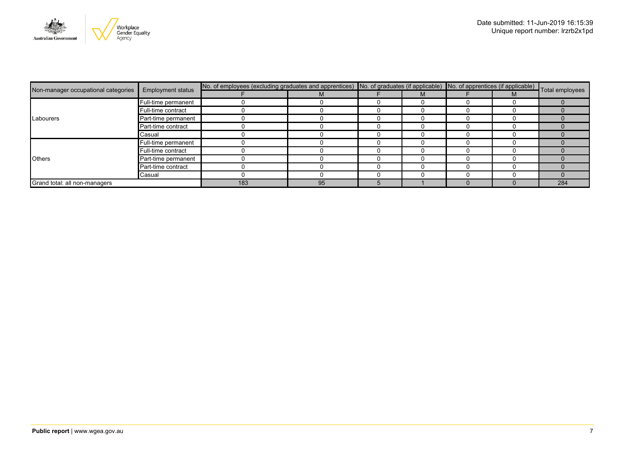

| <b>Employment status</b>            |                     | No. of employees (excluding graduates and apprentices) No. of graduates (if applicable) No. of apprentices (if applicable) Total employees |    |  |  |  |  |     |
|-------------------------------------|---------------------|--------------------------------------------------------------------------------------------------------------------------------------------|----|--|--|--|--|-----|
| Non-manager occupational categories |                     |                                                                                                                                            |    |  |  |  |  |     |
|                                     | Full-time permanent |                                                                                                                                            |    |  |  |  |  |     |
|                                     | Full-time contract  |                                                                                                                                            |    |  |  |  |  |     |
| Labourers                           | Part-time permanent |                                                                                                                                            |    |  |  |  |  |     |
|                                     | Part-time contract  |                                                                                                                                            |    |  |  |  |  |     |
|                                     | Casual              |                                                                                                                                            |    |  |  |  |  |     |
|                                     | Full-time permanent |                                                                                                                                            |    |  |  |  |  |     |
| <b>Others</b>                       | Full-time contract  |                                                                                                                                            |    |  |  |  |  |     |
|                                     | Part-time permanent |                                                                                                                                            |    |  |  |  |  |     |
|                                     | Part-time contract  |                                                                                                                                            |    |  |  |  |  |     |
|                                     | Casual              |                                                                                                                                            |    |  |  |  |  |     |
| Grand total: all non-managers       |                     | 183                                                                                                                                        | 95 |  |  |  |  | 284 |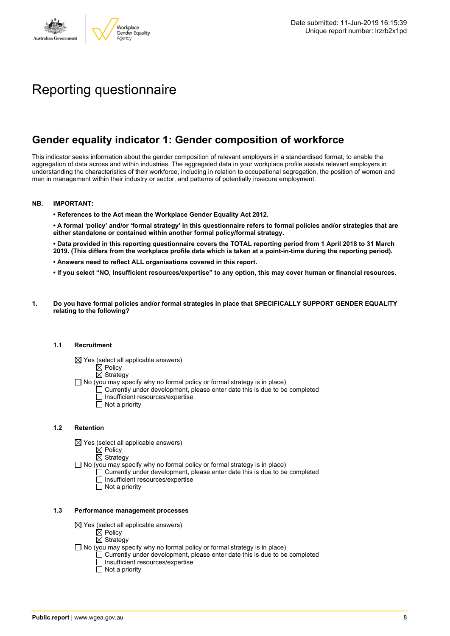

# Reporting questionnaire

### **Gender equality indicator 1: Gender composition of workforce**

This indicator seeks information about the gender composition of relevant employers in a standardised format, to enable the aggregation of data across and within industries. The aggregated data in your workplace profile assists relevant employers in understanding the characteristics of their workforce, including in relation to occupational segregation, the position of women and men in management within their industry or sector, and patterns of potentially insecure employment.

#### **NB. IMPORTANT:**

**• References to the Act mean the Workplace Gender Equality Act 2012.**

• A formal 'policy' and/or 'formal strategy' in this questionnaire refers to formal policies and/or strategies that are **either standalone or contained within another formal policy/formal strategy.**

• Data provided in this reporting questionnaire covers the TOTAL reporting period from 1 April 2018 to 31 March 2019. (This differs from the workplace profile data which is taken at a point-in-time during the reporting period).

- **• Answers need to reflect ALL organisations covered in this report.**
- . If you select "NO, Insufficient resources/expertise" to any option, this may cover human or financial resources.
- **1. Do you have formal policies and/or formal strategies in place that SPECIFICALLY SUPPORT GENDER EQUALITY relating to the following?**

#### **1.1 Recruitment**

- $\boxtimes$  Yes (select all applicable answers)
	- $\boxtimes$  Policy
	- $\boxtimes$  Strategy
- No (you may specify why no formal policy or formal strategy is in place)
	- $\Box$  Currently under development, please enter date this is due to be completed
		- $\overline{\Box}$  Insufficient resources/expertise
		- $\Box$  Not a priority

#### **1.2 Retention**

- $\boxtimes$  Yes (select all applicable answers)
	- $\boxtimes$  Policy
	- $\boxtimes$  Strategy
- No (you may specify why no formal policy or formal strategy is in place)
	- $\Box$  Currently under development, please enter date this is due to be completed
		- Insufficient resources/expertise
		- Not a priority

#### **1.3 Performance management processes**

- $\boxtimes$  Yes (select all applicable answers)
	- $\boxtimes$  Policy
	- $\boxtimes$  Strategy
- $\Box$  No (you may specify why no formal policy or formal strategy is in place)
	- $\Box$  Currently under development, please enter date this is due to be completed
	- $\Box$  Insufficient resources/expertise
	- $\Box$  Not a priority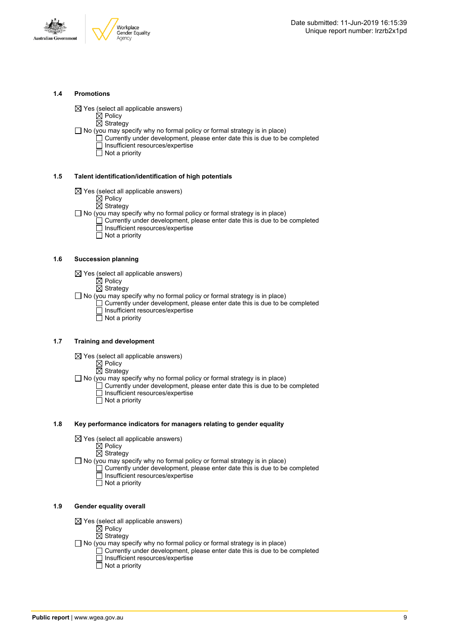



#### **1.4 Promotions**

 $\boxtimes$  Yes (select all applicable answers)

 $\boxtimes$  Policy  $\overline{\boxtimes}$  Strategy

- $\Box$  No (you may specify why no formal policy or formal strategy is in place)
	- $\Box$  Currently under development, please enter date this is due to be completed □ Insufficient resources/expertise
		- $\overline{\Box}$  Not a priority

#### **1.5 Talent identification/identification of high potentials**

- $\boxtimes$  Yes (select all applicable answers)
	- $\boxtimes$  Policy
	- $\overline{\boxtimes}$  Strategy
- $\Box$  No (you may specify why no formal policy or formal strategy is in place)
	- Currently under development, please enter date this is due to be completed Insufficient resources/expertise
		- $\overline{\Box}$  Not a priority

#### **1.6 Succession planning**

- $\boxtimes$  Yes (select all applicable answers)
	- $\boxtimes$  Policy
	- $\overline{\boxtimes}$  Strategy

 $\Box$  No (you may specify why no formal policy or formal strategy is in place)

- $\Box$  Currently under development, please enter date this is due to be completed Insufficient resources/expertise
- Not a priority

#### **1.7 Training and development**

- $\boxtimes$  Yes (select all applicable answers)
	- $\mathbb{\dot{Z}}$  Policy
		- $\boxtimes$  Strategy
- $\Box$  No (you may specify why no formal policy or formal strategy is in place)
	- Currently under development, please enter date this is due to be completed Insufficient resources/expertise
		- $\Box$  Not a priority

#### **1.8 Key performance indicators for managers relating to gender equality**

- $\boxtimes$  Yes (select all applicable answers)
	- $\boxtimes$  Policy
	- $\boxtimes$  Strategy

 $\Box$  No (you may specify why no formal policy or formal strategy is in place)

- $\Box$  Currently under development, please enter date this is due to be completed Insufficient resources/expertise
	- Not a priority

#### **1.9 Gender equality overall**

- $\boxtimes$  Yes (select all applicable answers)
	- $\mathbb{\dot{A}}$  Policy
	- $\boxtimes$  Strategy
- $\Box$  No (you may specify why no formal policy or formal strategy is in place)
	- $\Box$  Currently under development, please enter date this is due to be completed □ Insufficient resources/expertise
		- $\Box$  Not a priority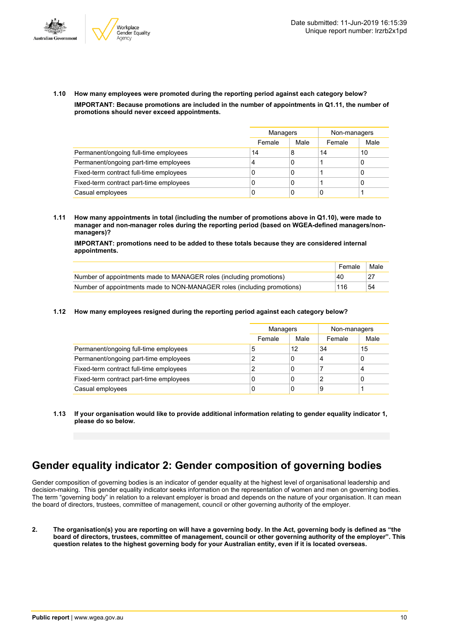



**1.10 How many employees were promoted during the reporting period against each category below? IMPORTANT: Because promotions are included in the number of appointments in Q1.11, the number of promotions should never exceed appointments.**

|                                         |        | Managers |        | Non-managers |
|-----------------------------------------|--------|----------|--------|--------------|
|                                         | Female | Male     | Female | Male         |
| Permanent/ongoing full-time employees   | 14     | 8        | 14     | 10           |
| Permanent/ongoing part-time employees   | 4      | 0        |        | 0            |
| Fixed-term contract full-time employees | 0      | 0        |        | 0            |
| Fixed-term contract part-time employees | 0      | 0        |        | 0            |
| Casual employees                        | 0      | 0        | 0      |              |

**1.11 How many appointments in total (including the number of promotions above in Q1.10), were made to manager and non-manager roles during the reporting period (based on WGEA-defined managers/nonmanagers)?**

**IMPORTANT: promotions need to be added to these totals because they are considered internal appointments.**

|                                                                         | Female | Male |
|-------------------------------------------------------------------------|--------|------|
| Number of appointments made to MANAGER roles (including promotions)     | 40     |      |
| Number of appointments made to NON-MANAGER roles (including promotions) | 116    | 54   |

#### **1.12 How many employees resigned during the reporting period against each category below?**

|                                         | Managers |      | Non-managers |      |
|-----------------------------------------|----------|------|--------------|------|
|                                         | Female   | Male | Female       | Male |
| Permanent/ongoing full-time employees   | 5        | 12   | 34           | 15   |
| Permanent/ongoing part-time employees   | າ        | 0    | 4            | 0    |
| Fixed-term contract full-time employees | າ        | 0    |              | 4    |
| Fixed-term contract part-time employees | 0        | 0    |              | 0    |
| Casual employees                        | 0        | 0    | 9            |      |

**1.13 If your organisation would like to provide additional information relating to gender equality indicator 1, please do so below.**

### **Gender equality indicator 2: Gender composition of governing bodies**

Gender composition of governing bodies is an indicator of gender equality at the highest level of organisational leadership and decision-making. This gender equality indicator seeks information on the representation of women and men on governing bodies. The term "governing body" in relation to a relevant employer is broad and depends on the nature of your organisation. It can mean the board of directors, trustees, committee of management, council or other governing authority of the employer.

2. The organisation(s) you are reporting on will have a governing body. In the Act, governing body is defined as "the board of directors, trustees, committee of management, council or other governing authority of the employer". This question relates to the highest governing body for your Australian entity, even if it is located overseas.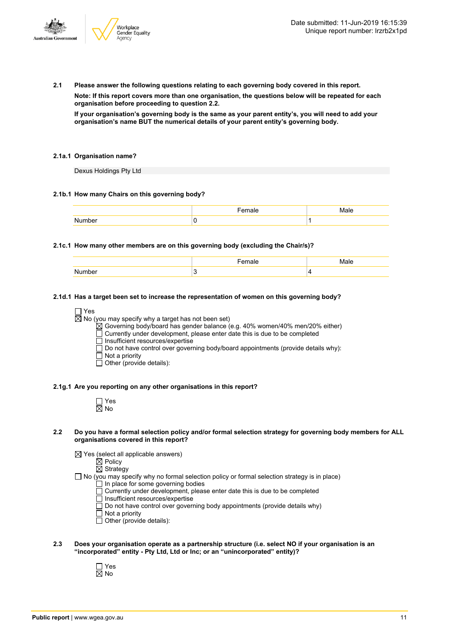

**2.1 Please answer the following questions relating to each governing body covered in this report.**

**Note: If this report covers more than one organisation, the questions below will be repeated for each organisation before proceeding to question 2.2.**

If your organisation's governing body is the same as your parent entity's, you will need to add your **organisation's name BUT the numerical details of your parent entity's governing body.**

#### **2.1a.1 Organisation name?**

Dexus Holdings Pty Ltd

#### **2.1b.1 How many Chairs on this governing body?**

#### **2.1c.1 How many other members are on this governing body (excluding the Chair/s)?**

#### **2.1d.1 Has a target been set to increase the representation of women on this governing body?**

□ Yes

 $\overline{\boxtimes}$  No (you may specify why a target has not been set)

 $\boxtimes$  Governing body/board has gender balance (e.g. 40% women/40% men/20% either)

Currently under development, please enter date this is due to be completed

□ Insufficient resources/expertise

Do not have control over governing body/board appointments (provide details why):

Not a priority

 $\Box$  Other (provide details):

#### **2.1g.1 Are you reporting on any other organisations in this report?**

| ٦<br>٠ |
|--------|

#### 2.2 Do you have a formal selection policy and/or formal selection strategy for governing body members for ALL **organisations covered in this report?**

 $\boxtimes$  Yes (select all applicable answers)

 $\boxtimes$  Policy

 $\overline{\boxtimes}$  Strategy

- $\Box$  No (you may specify why no formal selection policy or formal selection strategy is in place)
	- In place for some governing bodies Currently under development, please enter date this is due to be completed
	- $\overline{\Box}$  Insufficient resources/expertise
	- $\Box$  Do not have control over governing body appointments (provide details why)
	- Not a priority
	- Other (provide details):
- **2.3 Does your organisation operate as a partnership structure (i.e. select NO if your organisation is an "incorporated" entity - Pty Ltd, Ltd or Inc; or an "unincorporated" entity)?**
	- Yes No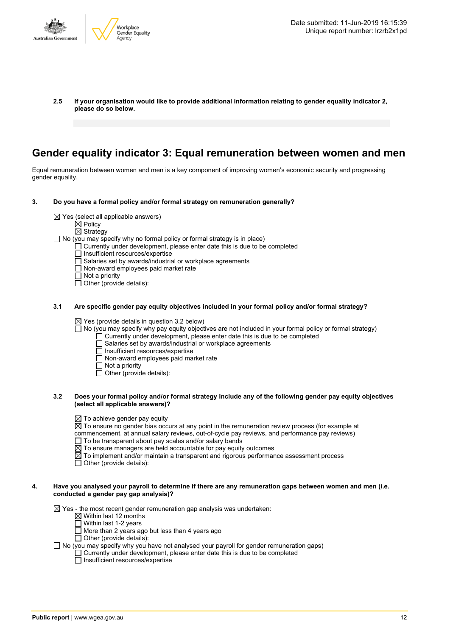

**2.5 If your organisation would like to provide additional information relating to gender equality indicator 2, please do so below.**

### **Gender equality indicator 3: Equal remuneration between women and men**

Equal remuneration between women and men is a key component of improving women's economic security and progressing gender equality.

- **3. Do you have a formal policy and/or formal strategy on remuneration generally?**
	- $\boxtimes$  Yes (select all applicable answers)
		- $\boxtimes$  Policy
		- $\overline{\boxtimes}$  Strategy

 $\Box$  No (you may specify why no formal policy or formal strategy is in place)

- Currently under development, please enter date this is due to be completed
	- Insufficient resources/expertise
- $\overline{\Box}$  Salaries set by awards/industrial or workplace agreements
- Non-award employees paid market rate
- $\Box$  Not a priority
- $\overline{\Box}$  Other (provide details):
- **3.1 Are specific gender pay equity objectives included in your formal policy and/or formal strategy?**

 $\boxtimes$  Yes (provide details in question 3.2 below)

- No (you may specify why pay equity objectives are not included in your formal policy or formal strategy)
	- Currently under development, please enter date this is due to be completed
	- Salaries set by awards/industrial or workplace agreements
	- Insufficient resources/expertise
	- $\Box$  Non-award employees paid market rate
	- Not a priority
	- Other (provide details):
- 3.2 Does your formal policy and/or formal strategy include any of the following gender pay equity objectives **(select all applicable answers)?**
	- $\boxtimes$  To achieve gender pay equity
	- $\overline{\boxtimes}$  To ensure no gender bias occurs at any point in the remuneration review process (for example at
	- commencement, at annual salary reviews, out-of-cycle pay reviews, and performance pay reviews)
	- $\Box$  To be transparent about pay scales and/or salary bands
	- $\boxtimes$  To ensure managers are held accountable for pay equity outcomes
	- $\boxtimes$  To implement and/or maintain a transparent and rigorous performance assessment process
	- $\Box$  Other (provide details):

#### 4. Have you analysed your payroll to determine if there are any remuneration gaps between women and men (i.e. **conducted a gender pay gap analysis)?**

 $\boxtimes$  Yes - the most recent gender remuneration gap analysis was undertaken:

- $\boxtimes$  Within last 12 months
- $\Box$  Within last 1-2 years
- $\Box$  More than 2 years ago but less than 4 years ago
- $\Box$  Other (provide details):
- $\Box$  No (you may specify why you have not analysed your payroll for gender remuneration gaps)

 $\Box$  Currently under development, please enter date this is due to be completed

 $\Box$  Insufficient resources/expertise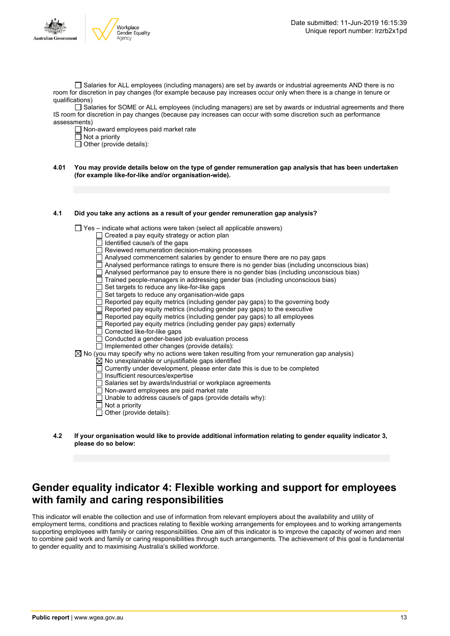

 $\Box$  Salaries for ALL employees (including managers) are set by awards or industrial agreements AND there is no room for discretion in pay changes (for example because pay increases occur only when there is a change in tenure or qualifications)

Salaries for SOME or ALL employees (including managers) are set by awards or industrial agreements and there IS room for discretion in pay changes (because pay increases can occur with some discretion such as performance assessments)

 $\Box$  Non-award employees paid market rate

 $\Box$  Not a priority

 $\Box$  Other (provide details):

4.01 You may provide details below on the type of gender remuneration gap analysis that has been undertaken **(for example like-for-like and/or organisation-wide).**

#### **4.1 Did you take any actions as a result of your gender remuneration gap analysis?**

 $\Box$  Yes – indicate what actions were taken (select all applicable answers)

- $\Box$  Created a pay equity strategy or action plan
	- Identified cause/s of the gaps
- Reviewed remuneration decision-making processes
- Analysed commencement salaries by gender to ensure there are no pay gaps
- $\Box$  Analysed performance ratings to ensure there is no gender bias (including unconscious bias)
- Analysed performance pay to ensure there is no gender bias (including unconscious bias)
- Trained people-managers in addressing gender bias (including unconscious bias)
- Set targets to reduce any like-for-like gaps
- $\Box$  Set targets to reduce any organisation-wide gaps
- Reported pay equity metrics (including gender pay gaps) to the governing body
- Reported pay equity metrics (including gender pay gaps) to the executive
- $\Box$  Reported pay equity metrics (including gender pay gaps) to all employees
- $\Box$  Reported pay equity metrics (including gender pay gaps) externally
- Corrected like-for-like gaps
- Conducted a gender-based job evaluation process
- $\Box$  Implemented other changes (provide details):
- $\boxtimes$  No (you may specify why no actions were taken resulting from your remuneration gap analysis)
	- $\overline{\boxtimes}$  No unexplainable or uniustifiable gaps identified
	- $\Box$  Currently under development, please enter date this is due to be completed
		- $\overline{\Box}$  Insufficient resources/expertise
		- □ Salaries set by awards/industrial or workplace agreements
	- Non-award employees are paid market rate
	- Unable to address cause/s of gaps (provide details why):
	- $\overline{\Box}$  Not a priority
	- $\Box$  Other (provide details):
- **4.2 If your organisation would like to provide additional information relating to gender equality indicator 3, please do so below:**

### **Gender equality indicator 4: Flexible working and support for employees with family and caring responsibilities**

This indicator will enable the collection and use of information from relevant employers about the availability and utility of employment terms, conditions and practices relating to flexible working arrangements for employees and to working arrangements supporting employees with family or caring responsibilities. One aim of this indicator is to improve the capacity of women and men to combine paid work and family or caring responsibilities through such arrangements. The achievement of this goal is fundamental to gender equality and to maximising Australia's skilled workforce.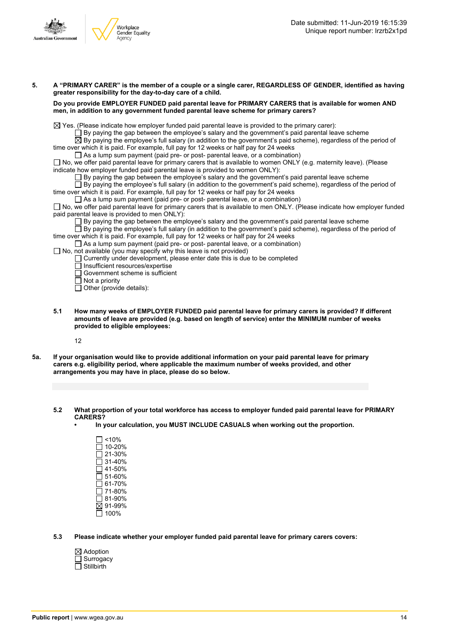

| 5. | A "PRIMARY CARER" is the member of a couple or a single carer, REGARDLESS OF GENDER, identified as having<br>greater responsibility for the day-to-day care of a child.                                                                                                                                                                                                                                                                                                                                                                                                                                                                                                                                                                                                                                                                                                                                                                                                                                                                                                                                                                                                                                                                                                                                                                                                                                                                                                                                                                                                                                                                                                                                                                                                                                                                                                                                                                                                                                                                                                           |  |  |  |  |  |
|----|-----------------------------------------------------------------------------------------------------------------------------------------------------------------------------------------------------------------------------------------------------------------------------------------------------------------------------------------------------------------------------------------------------------------------------------------------------------------------------------------------------------------------------------------------------------------------------------------------------------------------------------------------------------------------------------------------------------------------------------------------------------------------------------------------------------------------------------------------------------------------------------------------------------------------------------------------------------------------------------------------------------------------------------------------------------------------------------------------------------------------------------------------------------------------------------------------------------------------------------------------------------------------------------------------------------------------------------------------------------------------------------------------------------------------------------------------------------------------------------------------------------------------------------------------------------------------------------------------------------------------------------------------------------------------------------------------------------------------------------------------------------------------------------------------------------------------------------------------------------------------------------------------------------------------------------------------------------------------------------------------------------------------------------------------------------------------------------|--|--|--|--|--|
|    | Do you provide EMPLOYER FUNDED paid parental leave for PRIMARY CARERS that is available for women AND<br>men, in addition to any government funded parental leave scheme for primary carers?                                                                                                                                                                                                                                                                                                                                                                                                                                                                                                                                                                                                                                                                                                                                                                                                                                                                                                                                                                                                                                                                                                                                                                                                                                                                                                                                                                                                                                                                                                                                                                                                                                                                                                                                                                                                                                                                                      |  |  |  |  |  |
|    | $\boxtimes$ Yes. (Please indicate how employer funded paid parental leave is provided to the primary carer):<br>$\Box$ By paying the gap between the employee's salary and the government's paid parental leave scheme<br>$\boxtimes$ By paying the employee's full salary (in addition to the government's paid scheme), regardless of the period of<br>time over which it is paid. For example, full pay for 12 weeks or half pay for 24 weeks<br>$\Box$ As a lump sum payment (paid pre- or post- parental leave, or a combination)<br>$\Box$ No, we offer paid parental leave for primary carers that is available to women ONLY (e.g. maternity leave). (Please<br>indicate how employer funded paid parental leave is provided to women ONLY):<br>$\Box$ By paying the gap between the employee's salary and the government's paid parental leave scheme<br>$\Box$ By paying the employee's full salary (in addition to the government's paid scheme), regardless of the period of<br>time over which it is paid. For example, full pay for 12 weeks or half pay for 24 weeks<br>$\Box$ As a lump sum payment (paid pre- or post- parental leave, or a combination)<br>□ No, we offer paid parental leave for primary carers that is available to men ONLY. (Please indicate how employer funded<br>paid parental leave is provided to men ONLY).<br>$\Box$ By paying the gap between the employee's salary and the government's paid parental leave scheme<br>$\Box$ By paying the employee's full salary (in addition to the government's paid scheme), regardless of the period of<br>time over which it is paid. For example, full pay for 12 weeks or half pay for 24 weeks<br>$\Box$ As a lump sum payment (paid pre- or post- parental leave, or a combination)<br>$\Box$ No, not available (you may specify why this leave is not provided)<br>$\Box$ Currently under development, please enter date this is due to be completed<br>Insufficient resources/expertise<br>Government scheme is sufficient<br>$\Box$ Not a priority<br>$\Box$ Other (provide details): |  |  |  |  |  |
|    |                                                                                                                                                                                                                                                                                                                                                                                                                                                                                                                                                                                                                                                                                                                                                                                                                                                                                                                                                                                                                                                                                                                                                                                                                                                                                                                                                                                                                                                                                                                                                                                                                                                                                                                                                                                                                                                                                                                                                                                                                                                                                   |  |  |  |  |  |

**5.1 How many weeks of EMPLOYER FUNDED paid parental leave for primary carers is provided? If different amounts of leave are provided (e.g. based on length of service) enter the MINIMUM number of weeks provided to eligible employees:**

12

- 5a. If your organisation would like to provide additional information on your paid parental leave for primary **carers e.g. eligibility period, where applicable the maximum number of weeks provided, and other arrangements you may have in place, please do so below.**
	- **5.2 What proportion of your total workforce has access to employer funded paid parental leave for PRIMARY CARERS?**
		- **• In your calculation, you MUST INCLUDE CASUALS when working out the proportion.**
			- $\square$  <10%  $\overline{\Box}$  10-20% 21-30% 31-40%  $\overline{\square}$  41-50%  $\square$  51-60% 61-70% 71-80% 81-90% 91-99%  $\overline{\Box}$  100%
	- **5.3 Please indicate whether your employer funded paid parental leave for primary carers covers:**
		- Adoption **Surrogacy**  $\overline{\Box}$  Stillbirth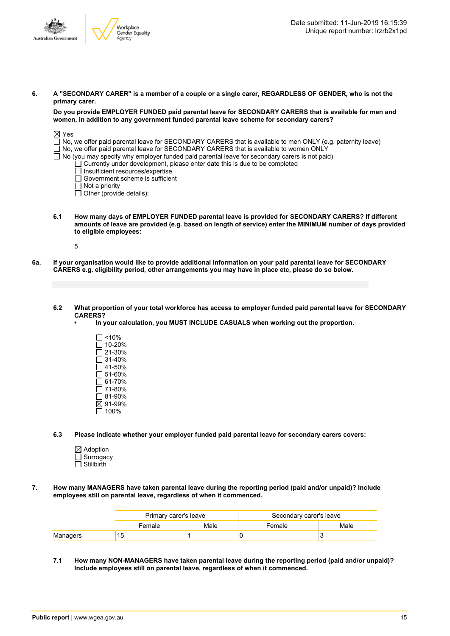

6. A "SECONDARY CARER" is a member of a couple or a single carer, REGARDLESS OF GENDER, who is not the **primary carer.**

**Do you provide EMPLOYER FUNDED paid parental leave for SECONDARY CARERS that is available for men and women, in addition to any government funded parental leave scheme for secondary carers?**

| $\boxtimes$ Yes                                                                                            |  |
|------------------------------------------------------------------------------------------------------------|--|
| No, we offer paid parental leave for SECONDARY CARERS that is available to men ONLY (e.g. paternity leave) |  |
| $\Box$ No, we offer paid parental leave for SECONDARY CARERS that is available to women ONLY               |  |
| $\Box$ No (you may specify why employer funded paid parental leave for secondary carers is not paid)       |  |
| Currently under development, please enter date this is due to be completed                                 |  |
| $\Box$ Insufficient resources/expertise                                                                    |  |
| $\Box$ Government scheme is sufficient                                                                     |  |
| $\Box$ Not a priority                                                                                      |  |
| $\Box$ Other (provide details):                                                                            |  |
|                                                                                                            |  |

**6.1 How many days of EMPLOYER FUNDED parental leave is provided for SECONDARY CARERS? If different** amounts of leave are provided (e.g. based on length of service) enter the MINIMUM number of days provided **to eligible employees:**

5

6a. If your organisation would like to provide additional information on your paid parental leave for SECONDARY **CARERS e.g. eligibility period, other arrangements you may have in place etc, please do so below.**

#### 6.2 What proportion of your total workforce has access to employer funded paid parental leave for SECONDARY **CARERS?**

- **• In your calculation, you MUST INCLUDE CASUALS when working out the proportion.**
	- $\Box$  <10%  $\square$  10-20% 21-30% 31-40%  $\overline{\Box}$  41-50%  $\square$  51-60% 61-70% 71-80%  $\overline{\Box}$  81-90% 91-99%  $\overline{\Box}$  100%

**6.3 Please indicate whether your employer funded paid parental leave for secondary carers covers:**

- Adoption **Surrogacy**  $\Box$  Stillbirth
- **7. How many MANAGERS have taken parental leave during the reporting period (paid and/or unpaid)? Include employees still on parental leave, regardless of when it commenced.**

|          | Primary carer's leave |      | Secondary carer's leave |      |  |
|----------|-----------------------|------|-------------------------|------|--|
|          | Female                | Male | Female                  | Male |  |
| Managers | 15                    |      |                         |      |  |

**7.1 How many NON-MANAGERS have taken parental leave during the reporting period (paid and/or unpaid)? Include employees still on parental leave, regardless of when it commenced.**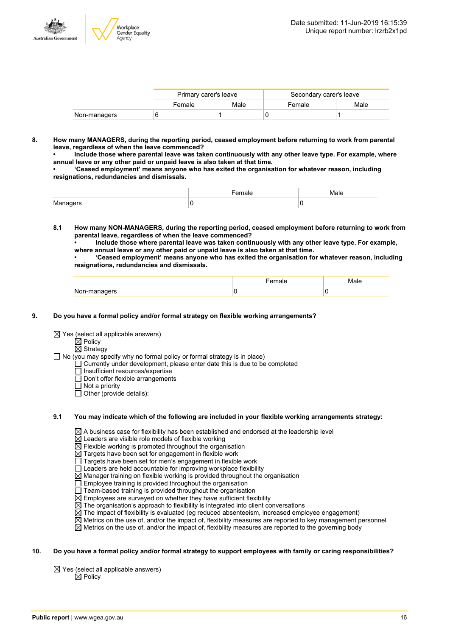

|              | Primary carer's leave |      | Secondary carer's leave |      |  |
|--------------|-----------------------|------|-------------------------|------|--|
|              | Female                | Male | Female                  | Male |  |
| Non-managers |                       |      |                         |      |  |

**8. How many MANAGERS, during the reporting period, ceased employment before returning to work from parental leave, regardless of when the leave commenced?**

**• Include those where parental leave was taken continuously with any other leave type. For example, where annual leave or any other paid or unpaid leave is also taken at that time.**

**• 'Ceased employment' means anyone who has exited the organisation for whatever reason, including resignations, redundancies and dismissals.**

|   | $\cdot$ | Male |
|---|---------|------|
| . |         |      |

**8.1 How many NON-MANAGERS, during the reporting period, ceased employment before returning to work from parental leave, regardless of when the leave commenced?**

**• Include those where parental leave was taken continuously with any other leave type. For example, where annual leave or any other paid or unpaid leave is also taken at that time.**

**• 'Ceased employment' means anyone who has exited the organisation for whatever reason, including resignations, redundancies and dismissals.**

| Non-managers |  |
|--------------|--|

#### **9. Do you have a formal policy and/or formal strategy on flexible working arrangements?**

 $\boxtimes$  Yes (select all applicable answers)

 $\mathbb{\dot{A}}$  Policy

 $\boxtimes$  Strategy

 $\Box$  No (you may specify why no formal policy or formal strategy is in place)

- $\Box$  Currently under development, please enter date this is due to be completed
- $\overline{\Box}$  Insufficient resources/expertise
- Don't offer flexible arrangements
- $\Box$  Not a priority
- $\Box$  Other (provide details):

#### **9.1 You may indicate which of the following are included in your flexible working arrangements strategy:**

 $\boxtimes$  A business case for flexibility has been established and endorsed at the leadership level

- $\boxtimes$  Leaders are visible role models of flexible working
- $\overline{\boxtimes}$  Flexible working is promoted throughout the organisation
- Targets have been set for engagement in flexible work
- Targets have been set for men's engagement in flexible work
- $\Box$  Leaders are held accountable for improving workplace flexibility
- $\overline{\boxtimes}$  Manager training on flexible working is provided throughout the organisation
- Employee training is provided throughout the organisation
- Team-based training is provided throughout the organisation
- $\boxtimes$  Employees are surveyed on whether they have sufficient flexibility
- $\boxtimes$  The organisation's approach to flexibility is integrated into client conversations
- $\boxtimes$  The impact of flexibility is evaluated (eg reduced absenteeism, increased employee engagement)
- $\overline{\boxtimes}$  Metrics on the use of, and/or the impact of, flexibility measures are reported to key management personnel
- $\boxtimes$  Metrics on the use of, and/or the impact of, flexibility measures are reported to the governing body

#### 10. Do you have a formal policy and/or formal strategy to support employees with family or caring responsibilities?

 $\boxtimes$  Yes (select all applicable answers)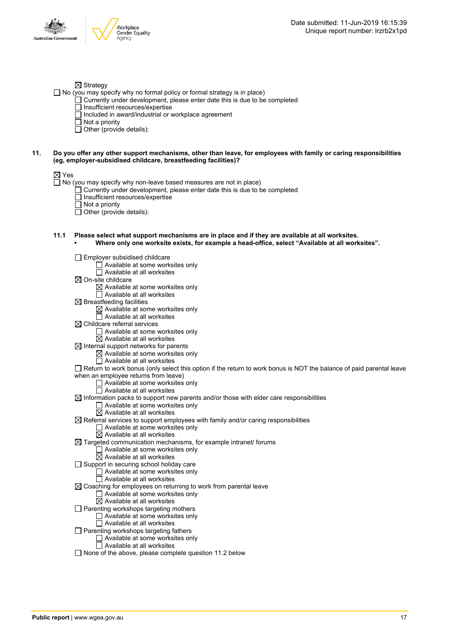

#### $\boxtimes$  Strategy

 $\Box$  No (you may specify why no formal policy or formal strategy is in place)

- $\Box$  Currently under development, please enter date this is due to be completed
	- $\Box$  Insufficient resources/expertise
	- $\Box$  Included in award/industrial or workplace agreement
	- $\overline{\Box}$  Not a priority
	- $\Box$  Other (provide details):

#### 11. Do you offer any other support mechanisms, other than leave, for employees with family or caring responsibilities **(eg, employer-subsidised childcare, breastfeeding facilities)?**

#### ⊠ Yes

 $\Box$  No (you may specify why non-leave based measures are not in place)

- Currently under development, please enter date this is due to be completed
- $\Box$  Insufficient resources/expertise
- Not a priority
- Other (provide details):

#### **11.1 Please select what support mechanisms are in place and if they are available at all worksites. • Where only one worksite exists, for example a head-office, select "Available at all worksites".**

Employer subsidised childcare  $\Box$  Available at some worksites only  $\Box$  Available at all worksites  $\boxtimes$  On-site childcare  $\boxtimes$  Available at some worksites only Available at all worksites  $\boxtimes$  Breastfeeding facilities  $\boxtimes$  Available at some worksites only □ Available at all worksites  $\boxtimes$  Childcare referral services Available at some worksites only  $\boxtimes$  Available at all worksites  $\boxtimes$  Internal support networks for parents  $\boxtimes$  Available at some worksites only  $\overline{\Box}$  Available at all worksites Return to work bonus (only select this option if the return to work bonus is NOT the balance of paid parental leave when an employee returns from leave) □ Available at some worksites only  $\Box$  Available at all worksites  $\boxtimes$  Information packs to support new parents and/or those with elder care responsibilities □ Available at some worksites only  $\boxtimes$  Available at all worksites  $\boxtimes$  Referral services to support employees with family and/or caring responsibilities  $\Box$  Available at some worksites only  $\overline{\boxtimes}$  Available at all worksites  $\boxtimes$  Targeted communication mechanisms, for example intranet/ forums  $\Box$  Available at some worksites only  $\overline{\boxtimes}$  Available at all worksites  $\Box$  Support in securing school holiday care □ Available at some worksites only  $\Box$  Available at all worksites  $\boxtimes$  Coaching for employees on returning to work from parental leave Available at some worksites only  $\overline{\boxtimes}$  Available at all worksites  $\Box$  Parenting workshops targeting mothers  $\Box$  Available at some worksites only □ Available at all worksites  $\Box$  Parenting workshops targeting fathers □ Available at some worksites only  $\overline{\Box}$  Available at all worksites  $\Box$  None of the above, please complete question 11.2 below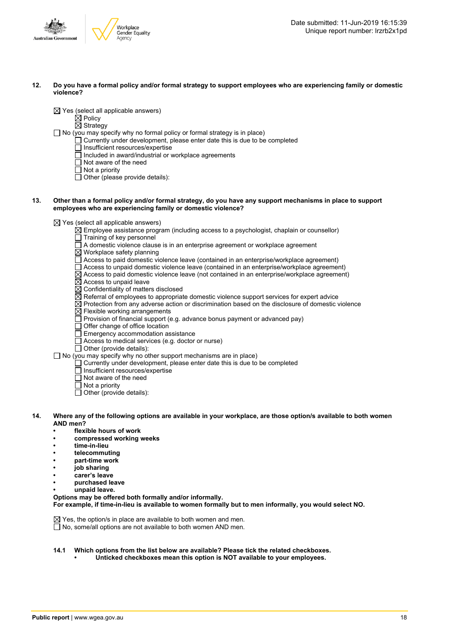

#### 12. Do you have a formal policy and/or formal strategy to support employees who are experiencing family or domestic **violence?**

 $\boxtimes$  Yes (select all applicable answers)

 $\boxtimes$  Policy

 $\overline{\boxtimes}$  Strategy

 $\Box$  No (you may specify why no formal policy or formal strategy is in place)

- $\Box$  Currently under development, please enter date this is due to be completed
- $\Box$  Insufficient resources/expertise
- $\Box$  Included in award/industrial or workplace agreements
- □ Not aware of the need
- $\Box$  Not a priority

 $\Box$  Other (please provide details):

#### 13. Other than a formal policy and/or formal strategy, do you have any support mechanisms in place to support **employees who are experiencing family or domestic violence?**

 $\boxtimes$  Yes (select all applicable answers)

- $\boxtimes$  Employee assistance program (including access to a psychologist, chaplain or counsellor)
- Training of key personnel
- A domestic violence clause is in an enterprise agreement or workplace agreement
- $\boxtimes$  Workplace safety planning
- Access to paid domestic violence leave (contained in an enterprise/workplace agreement)
- $\Box$  Access to unpaid domestic violence leave (contained in an enterprise/workplace agreement)
- $\overline{\boxtimes}$  Access to paid domestic violence leave (not contained in an enterprise/workplace agreement)
- $\boxtimes$  Access to unpaid leave
- $\boxtimes$  Confidentiality of matters disclosed
- $\boxtimes$  Referral of employees to appropriate domestic violence support services for expert advice
- $\overline{\boxtimes}$  Protection from any adverse action or discrimination based on the disclosure of domestic violence
- Flexible working arrangements
- Provision of financial support (e.g. advance bonus payment or advanced pay)
- Offer change of office location
- $\Box$  Emergency accommodation assistance
- $\Box$  Access to medical services (e.g. doctor or nurse)
- $\Box$  Other (provide details):

 $\Box$  No (you may specify why no other support mechanisms are in place)

- $\Box$  Currently under development, please enter date this is due to be completed
	- □ Insufficient resources/expertise
	- $\Box$  Not aware of the need
	- $\overline{\Box}$  Not a priority
	- $\overline{\Box}$  Other (provide details):
- 14. Where any of the following options are available in your workplace, are those option/s available to both women **AND men?**
	- **• flexible hours of work**
	- **• compressed working weeks**
	- **• time-in-lieu**
	- **• telecommuting**
	- **• part-time work**
	- **• job sharing**
	- **• carer's leave**
	- **• purchased leave**
	- **• unpaid leave.**

**Options may be offered both formally and/or informally. For example, if time-in-lieu is available to women formally but to men informally, you would select NO.**

 $\boxtimes$  Yes, the option/s in place are available to both women and men.  $\overline{\Box}$  No, some/all options are not available to both women AND men.

- **14.1 Which options from the list below are available? Please tick the related checkboxes.**
	- **• Unticked checkboxes mean this option is NOT available to your employees.**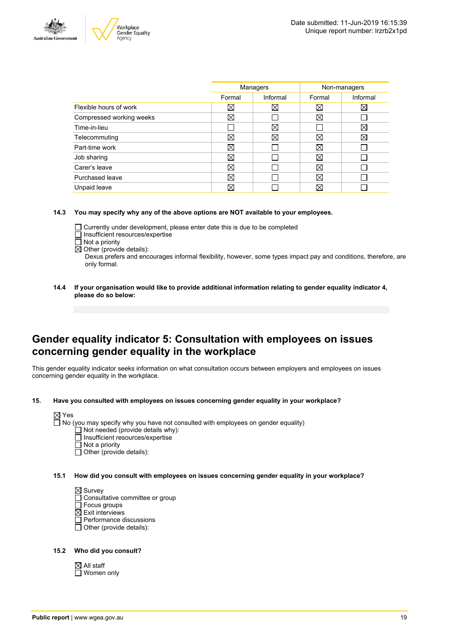



|                          | Managers    |          | Non-managers |          |
|--------------------------|-------------|----------|--------------|----------|
|                          | Formal      | Informal | Formal       | Informal |
| Flexible hours of work   | ⊠           | ⊠        | ⊠            | ⋈        |
| Compressed working weeks | $\boxtimes$ |          | ⊠            |          |
| Time-in-lieu             |             | X        |              | ⊠        |
| Telecommuting            | ⊠           | Χ        | ⊠            | X        |
| Part-time work           | ⊠           |          | ⊠            |          |
| Job sharing              | ⊠           |          | ⊠            |          |
| Carer's leave            | ⊠           |          | ⊠            |          |
| Purchased leave          | ⊠           |          | ⊠            |          |
| Unpaid leave             | ⊠           |          | X            |          |
|                          |             |          |              |          |

#### **14.3 You may specify why any of the above options are NOT available to your employees.**

- Currently under development, please enter date this is due to be completed
- □ Insufficient resources/expertise
- $\overline{\Box}$  Not a priority
- $\boxtimes$  Other (provide details):

Dexus prefers and encourages informal flexibility, however, some types impact pay and conditions, therefore, are only formal.

**14.4 If your organisation would like to provide additional information relating to gender equality indicator 4, please do so below:**

### **Gender equality indicator 5: Consultation with employees on issues concerning gender equality in the workplace**

This gender equality indicator seeks information on what consultation occurs between employers and employees on issues concerning gender equality in the workplace.

**15. Have you consulted with employees on issues concerning gender equality in your workplace?**



- Insufficient resources/expertise
- Not a priority
- $\Box$  Other (provide details):
- **15.1 How did you consult with employees on issues concerning gender equality in your workplace?**

 $\boxtimes$  Survey

- □ Consultative committee or group
- □ Focus groups
- $\boxtimes$  Exit interviews
- $\overline{\Box}$  Performance discussions
- $\Box$  Other (provide details):

#### **15.2 Who did you consult?**

 $\boxtimes$  All staff □ Women only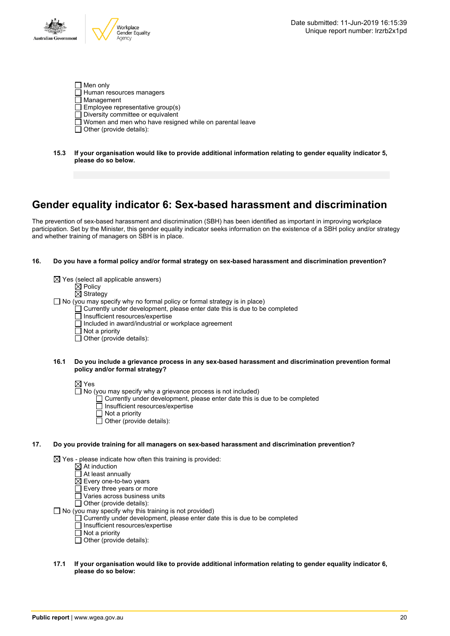- $\Box$  Men only  $\Box$  Human resources managers  $\overline{\Box}$  Management  $\Box$  Employee representative group(s)  $\Box$  Diversity committee or equivalent Women and men who have resigned while on parental leave  $\Box$  Other (provide details):
- **15.3 If your organisation would like to provide additional information relating to gender equality indicator 5, please do so below.**

### **Gender equality indicator 6: Sex-based harassment and discrimination**

The prevention of sex-based harassment and discrimination (SBH) has been identified as important in improving workplace participation. Set by the Minister, this gender equality indicator seeks information on the existence of a SBH policy and/or strategy and whether training of managers on SBH is in place.

#### **16. Do you have a formal policy and/or formal strategy on sex-based harassment and discrimination prevention?**

 $\boxtimes$  Yes (select all applicable answers)  $\overline{\boxtimes}$  Policy  $\boxtimes$  Strategy  $\Box$  No (you may specify why no formal policy or formal strategy is in place)  $\Box$  Currently under development, please enter date this is due to be completed  $\Box$  Insufficient resources/expertise □ Included in award/industrial or workplace agreement  $\overline{\Box}$  Not a priority  $\Box$  Other (provide details):

#### **16.1 Do you include a grievance process in any sex-based harassment and discrimination prevention formal policy and/or formal strategy?**

 $\boxtimes$  Yes

- $\Box$  No (you may specify why a grievance process is not included)
	- Currently under development, please enter date this is due to be completed
	- Insufficient resources/expertise
	- $\Box$  Not a priority
	- $\Box$  Other (provide details):

#### **17. Do you provide training for all managers on sex-based harassment and discrimination prevention?**

 $\boxtimes$  Yes - please indicate how often this training is provided:

- At induction
- At least annually
- $\boxtimes$  Every one-to-two years
- Every three years or more
- $\Box$  Varies across business units

 $\overline{\Box}$  Other (provide details):

 $\Box$  No (you may specify why this training is not provided)

- Currently under development, please enter date this is due to be completed
- Insufficient resources/expertise
- $\overline{\Pi}$  Not a priority
- $\Box$  Other (provide details):

#### **17.1 If your organisation would like to provide additional information relating to gender equality indicator 6, please do so below:**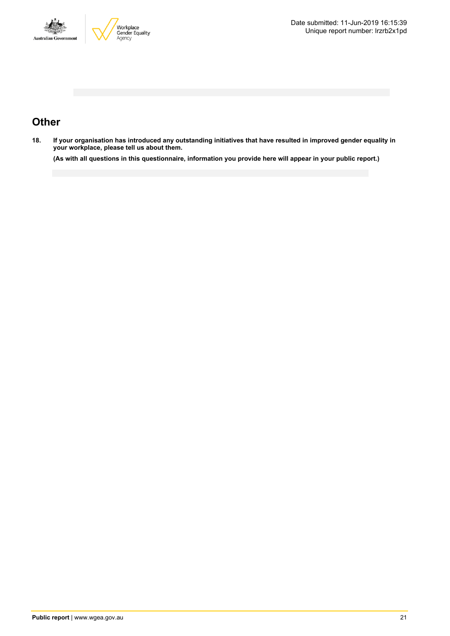



## **Other**

18. If your organisation has introduced any outstanding initiatives that have resulted in improved gender equality in **your workplace, please tell us about them.**

(As with all questions in this questionnaire, information you provide here will appear in your public report.)